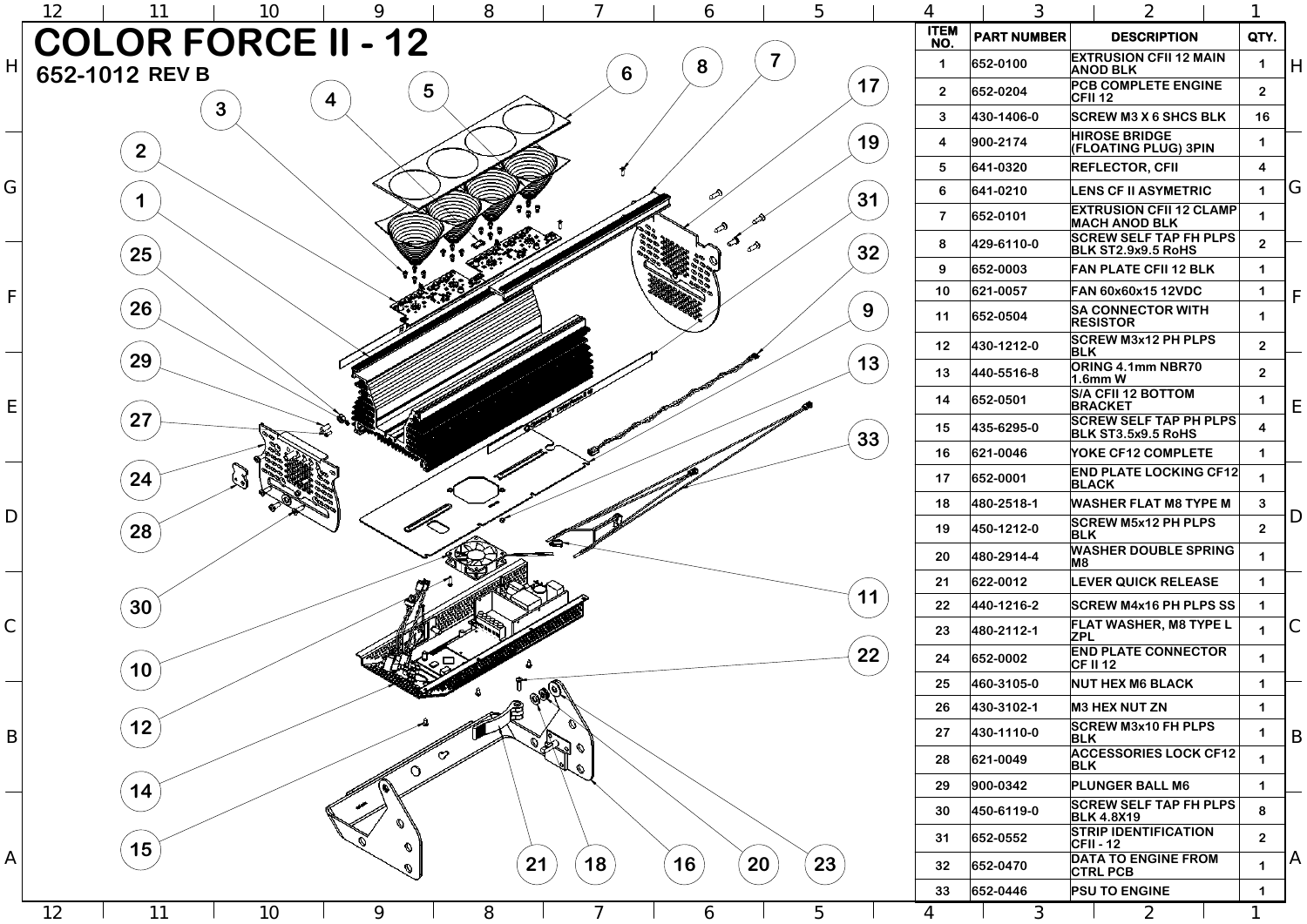|                                        | 5  | 4                       | 3                  | $\overline{2}$                                         |                         |              |
|----------------------------------------|----|-------------------------|--------------------|--------------------------------------------------------|-------------------------|--------------|
|                                        |    | <b>ITEM</b><br>NO.      | <b>PART NUMBER</b> | <b>DESCRIPTION</b>                                     | QTY.                    |              |
|                                        |    |                         | 652-0100           | <b>EXTRUSION CFII 12 MAIN</b><br><b>ANOD BLK</b>       | 1                       | H            |
|                                        | 17 | 2 <sup>2</sup>          | 652-0204           | <b>PCB COMPLETE ENGINE</b><br><b>CFII 12</b>           | $\overline{2}$          |              |
|                                        |    | $\mathbf{3}$            | 430-1406-0         | <b>SCREW M3 X 6 SHCS BLK</b>                           | 16                      |              |
|                                        | 19 | $\overline{\mathbf{4}}$ | 900-2174           | <b>HIROSE BRIDGE</b><br><b>(FLOATING PLUG) 3PIN</b>    | 1                       |              |
|                                        |    | 5                       | 641-0320           | <b>REFLECTOR, CFII</b>                                 | 4                       |              |
|                                        | 31 | 6                       | 641-0210           | <b>LENS CF II ASYMETRIC</b>                            | 1                       | G            |
| ⇗                                      |    | $\overline{\mathbf{7}}$ | 652-0101           | <b>EXTRUSION CFII 12 CLAMP</b><br><b>MACH ANOD BLK</b> |                         |              |
| จ                                      | 32 | 8                       | 429-6110-0         | <b>SCREW SELF TAP FH PLPS</b><br>BLK ST2.9x9.5 RoHS    | 2 <sup>1</sup>          |              |
|                                        |    | 9                       | 652-0003           | <b>FAN PLATE CFII 12 BLK</b>                           | 1                       |              |
|                                        |    | 10                      | 621-0057           | FAN 60x60x15 12VDC                                     | 1                       | F            |
|                                        | 9  | 11                      | 652-0504           | <b>SA CONNECTOR WITH</b><br><b>RESISTOR</b>            | 1                       |              |
|                                        |    | 12 <sub>2</sub>         | 430-1212-0         | <b>SCREW M3x12 PH PLPS</b><br><b>BLK</b>               | 2 <sup>1</sup>          |              |
| <b>ACCEPTED MANAGEMENT AND INCOME.</b> | 13 | 13                      | 440-5516-8         | <b>ORING 4.1mm NBR70</b><br>$1.6$ mm W                 | 2 <sup>1</sup>          |              |
|                                        |    | 14                      | 652-0501           | <b>S/A CFII 12 BOTTOM</b><br><b>BRACKET</b>            | 1                       | Е            |
|                                        | 33 | 15                      | 435-6295-0         | <b>SCREW SELF TAP PH PLPS</b><br>BLK ST3.5x9.5 RoHS    | $\overline{\mathbf{4}}$ |              |
|                                        |    | 16                      | 621-0046           | YOKE CF12 COMPLETE                                     | 1                       |              |
|                                        |    | 17                      | 652-0001           | <b>END PLATE LOCKING CF12</b><br><b>BLACK</b>          | 1                       |              |
|                                        |    | 18                      | 480-2518-1         | <b>WASHER FLAT M8 TYPE M</b>                           | $\mathbf{3}$            | D            |
|                                        |    | 19                      | 450-1212-0         | <b>SCREW M5x12 PH PLPS</b><br><b>BLK</b>               | 2 <sup>1</sup>          |              |
|                                        |    | 20                      | 480-2914-4         | <b>WASHER DOUBLE SPRING</b><br>M <sub>8</sub>          | 1                       |              |
|                                        | 11 | 21                      | 622-0012           | <b>LEVER QUICK RELEASE</b>                             | 1                       |              |
|                                        |    | 22                      | 440-1216-2         | <b>SCREW M4x16 PH PLPS SS</b>                          | $\mathbf 1$             |              |
|                                        |    | 23                      | 480-2112-1         | <b>FLAT WASHER, M8 TYPE L</b><br><b>ZPL</b>            | 1                       |              |
|                                        | 22 | 24                      | 652-0002           | <b>END PLATE CONNECTOR</b><br><b>CF II 12</b>          | 1                       |              |
|                                        |    | 25                      | 460-3105-0         | <b>NUT HEX M6 BLACK</b>                                | 1                       |              |
|                                        |    | 26                      | 430-3102-1         | <b>M3 HEX NUT ZN</b>                                   | 1                       |              |
|                                        |    | 27                      | 430-1110-0         | <b>SCREW M3x10 FH PLPS</b><br><b>BLK</b>               |                         | B            |
|                                        |    | 28                      | 621-0049           | <b>ACCESSORIES LOCK CF12</b><br><b>BLK</b>             | 1                       |              |
|                                        |    | 29                      | 900-0342           | <b>PLUNGER BALL M6</b>                                 | 1                       |              |
|                                        |    | 30                      | 450-6119-0         | <b>SCREW SELF TAP FH PLPS</b><br><b>BLK 4.8X19</b>     | 8                       |              |
|                                        |    | 31                      | 652-0552           | <b>STRIP IDENTIFICATION</b><br><b>CFII-12</b>          | 2 <sup>1</sup>          |              |
| 20                                     | 23 | 32                      | 652-0470           | <b>DATA TO ENGINE FROM</b><br><b>CTRL PCB</b>          | 1                       | $\mathsf{A}$ |
|                                        |    | 33                      | 652-0446           | <b>PSU TO ENGINE</b>                                   |                         |              |
|                                        | 5  | 4                       | $\mathfrak{Z}$     | $\overline{2}$                                         |                         |              |

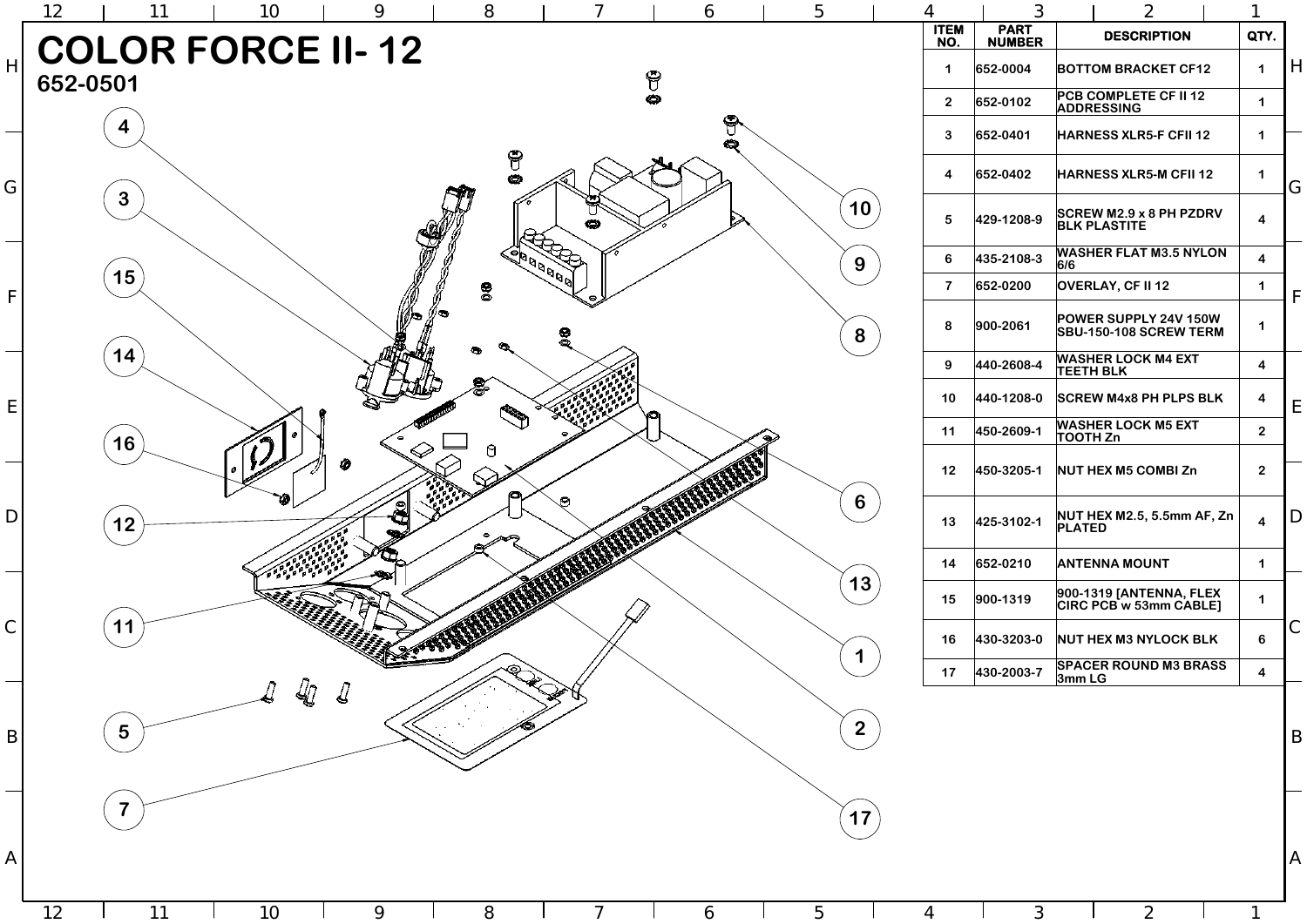1



3

2

|                         | 3                            |                                                               | $\overline{2}$                                        |   | 1                       |   |
|-------------------------|------------------------------|---------------------------------------------------------------|-------------------------------------------------------|---|-------------------------|---|
| <b>TEM</b><br>IO.       | <b>PART</b><br><b>NUMBER</b> |                                                               | QTY.                                                  |   |                         |   |
| $\mathbf 1$             | 652-0004                     | <b>BOTTOM BRACKET CF12</b>                                    | 1                                                     | H |                         |   |
| $\overline{2}$          | 652-0102                     | <b>PCB COMPLETE CF II 12</b><br><b>ADDRESSING</b>             | 1                                                     |   |                         |   |
| 3                       | 652-0401                     |                                                               | <b>HARNESS XLR5-F CFII 12</b>                         |   |                         |   |
| 4                       | 652-0402                     |                                                               | <b>HARNESS XLR5-M CFII 12</b>                         |   | 1                       | G |
| 5                       | 429-1208-9                   |                                                               | <b>SCREW M2.9 x 8 PH PZDRV</b><br><b>BLK PLASTITE</b> |   | 4                       |   |
| 6                       | 435-2108-3                   | 6/6                                                           | <b>WASHER FLAT M3.5 NYLON</b>                         |   | $\overline{\mathbf{4}}$ |   |
| $\overline{\mathbf{7}}$ | 652-0200                     |                                                               | <b>OVERLAY, CF II 12</b>                              |   | 1                       | F |
| 8                       | 900-2061                     | <b>POWER SUPPLY 24V 150W</b><br><b>SBU-150-108 SCREW TERM</b> |                                                       |   | 1                       |   |
| 9                       | 440-2608-4                   |                                                               | <b>WASHER LOCK M4 EXT</b><br><b>TEETH BLK</b>         |   | $\overline{\mathbf{4}}$ |   |
| 10                      | 440-1208-0                   |                                                               | <b>SCREW M4x8 PH PLPS BLK</b>                         |   | 4                       | E |
| 11                      | 450-2609-1                   | <b>WASHER LOCK M5 EXT</b><br>TOOTH Zn                         | $\mathbf{2}$                                          |   |                         |   |
| 12                      | 450-3205-1                   | <b>NUT HEX M5 COMBI Zn</b>                                    |                                                       |   |                         |   |
| 13                      | 425-3102-1                   | <b>PLATED</b>                                                 | <b>NUT HEX M2.5, 5.5mm AF, Zn</b>                     |   | 4                       | D |
| 14                      | 652-0210                     |                                                               | <b>ANTENNA MOUNT</b>                                  |   |                         |   |
| 15                      | 900-1319                     |                                                               | 900-1319 [ANTENNA, FLEX<br>CIRC PCB w 53mm CABLE]     |   | 1                       |   |
| 16                      | 430-3203-0                   |                                                               | <b>NUT HEX M3 NYLOCK BLK</b>                          |   | 6                       |   |
| 17                      | 430-2003-7                   |                                                               | <b>SPACER ROUND M3 BRASS</b><br>3mm LG                |   |                         |   |
|                         |                              |                                                               |                                                       |   |                         |   |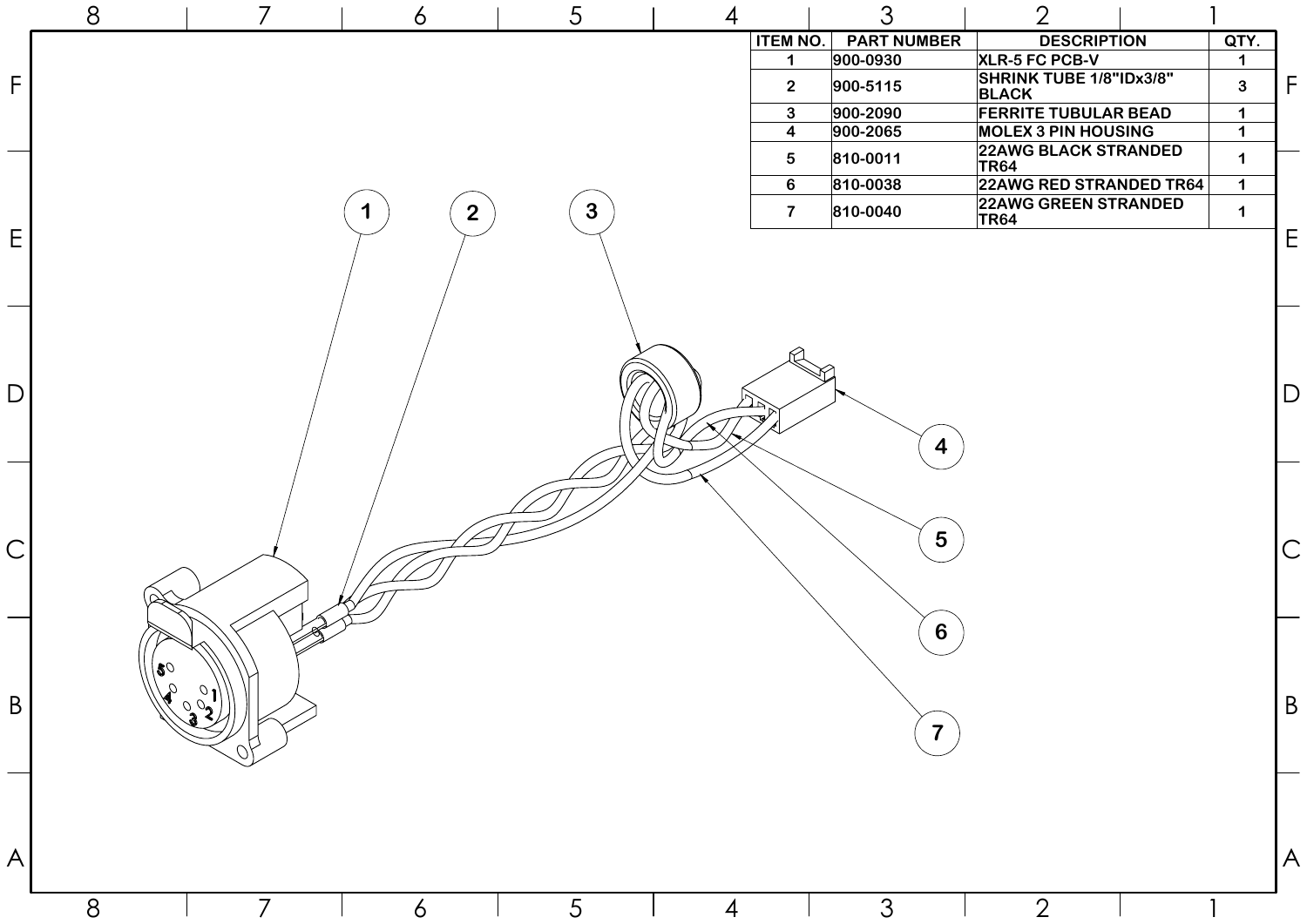| <b>DESCRIPTION</b>                             | QTY. |  |
|------------------------------------------------|------|--|
| <b>XLR-5 FC PCB-V</b>                          |      |  |
| <b>SHRINK TUBE 1/8"IDx3/8"</b><br><b>BLACK</b> |      |  |
| <b>FERRITE TUBULAR BEAD</b>                    |      |  |
| <b>MOLEX 3 PIN HOUSING</b>                     |      |  |
| <b>22AWG BLACK STRANDED</b><br><b>TR64</b>     |      |  |
| <b>22AWG RED STRANDED TR64</b>                 |      |  |
| <b>22AWG GREEN STRANDED</b><br><b>TR64</b>     |      |  |
|                                                |      |  |